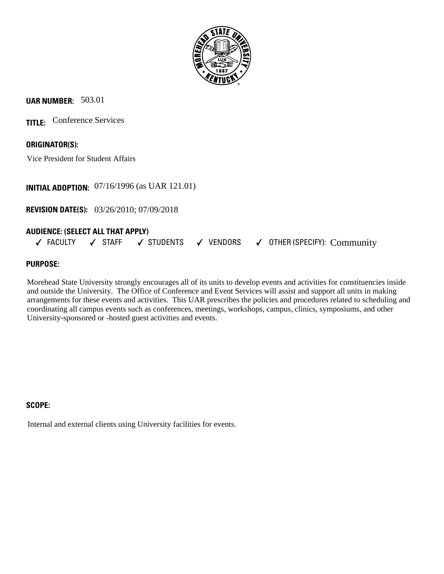

# **UAR NUMBER:** 503.01

**TITLE:** Conference Services

**ORIGINATOR(S):**

Vice President for Student Affairs

**INITIAL ADOPTION:** 07/16/1996 (as UAR 121.01)

**REVISION DATE(S):** 03/26/2010; 07/09/2018

## **AUDIENCE: (SELECT ALL THAT APPLY)**

FACULTY  $\hspace{0.1 cm}$   $\hspace{0.1 cm}$  STAFF  $\hspace{0.1 cm}$   $\hspace{0.1 cm}$  STUDENTS  $\hspace{0.1 cm}$   $\hspace{0.1 cm}$  VENDORS  $\hspace{0.1 cm}$   $\hspace{0.1 cm}$  OTHER (SPECIFY):  $\hspace{0.1 cm}$  Community

## **PURPOSE:**

Morehead State University strongly encourages all of its units to develop events and activities for constituencies inside and outside the University. The Office of Conference and Event Services will assist and support all units in making arrangements for these events and activities. This UAR prescribes the policies and procedures related to scheduling and coordinating all campus events such as conferences, meetings, workshops, campus, clinics, symposiums, and other University-sponsored or -hosted guest activities and events.

## **SCOPE:**

Internal and external clients using University facilities for events.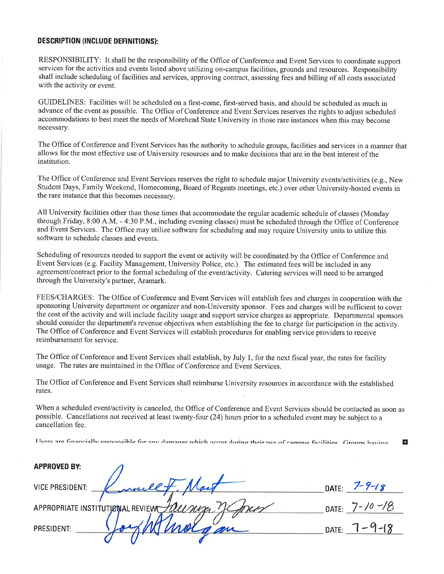#### **DESCRIPTION (INCLUDE DEFINITIONS):**

RESPONSIBILITY: It shall be the responsibility of the Office of Conference and Event Services to coordinate support services for the activities and events listed above utilizing on-campus facilities, grounds and resources. Responsibility shall include scheduling of facilities and services, approving contract, assessing fees and billing of all costs associated with the activity or event.

GUIDELINES: Facilities will be scheduled on a first-come, first-served basis, and should be scheduled as much in advance of the event as possible. The Office of Conference and Event Services reserves the rights to adjust scheduled accommodations to best meet the needs of Morehead State University in those rare instances when this may become necessary.

The Office of Conference and Event Services has the authority to schedule groups, facilities and services in a manner that allows for the most effective use of University resources and to make decisions that are in the best interest of the institution.

The Office of Conference and Event Services reserves the right to schedule major University events/activities (e.g., New Student Days, Family Weekend, Homecoming, Board of Regents meetings, etc.) over other University-hosted events in the rare instance that this becomes necessary.

All University facilities other than those times that accommodate the regular academic schedule of classes (Monday through Friday, 8:00 A.M. - 4:30 P.M., including evening classes) must be scheduled through the Office of Conference and Event Services. The Office may utilize software for scheduling and may require University units to utilize this software to schedule classes and events.

Scheduling of resources needed to support the event or activity will be coordinated by the Office of Conference and Event Services (e.g. Facility Management, University Police, etc.). The estimated fees will be included in any agreement/contract prior to the formal scheduling of the event/activity. Catering services will need to be arranged through the University's partner, Aramark.

FEES/CHARGES: The Office of Conference and Event Services will establish fees and charges in cooperation with the sponsoring University department or organizer and non-University sponsor. Fees and charges will be sufficient to cover the cost of the activity and will include facility usage and support service charges as appropriate. Departmental sponsors should consider the department's revenue objectives when establishing the fee to charge for participation in the activity. The Office of Conference and Event Services will establish procedures for enabling service providers to receive reimbursement for service.

The Office of Conference and Event Services shall establish, by July 1, for the next fiscal year, the rates for facility usage. The rates are maintained in the Office of Conference and Event Services.

The Office of Conference and Event Services shall reimburse University resources in accordance with the established rates.

When a scheduled event/activity is canceled, the Office of Conference and Event Services should be contacted as soon as possible. Cancellations not received at least twenty-four (24) hours prior to a scheduled event may be subject to a cancellation fee.

Heere are financially reenonsible for any damages which occur during their use of campus facilities. Groups having o

| <b>APPROVED BY:</b>              |                   |                     |
|----------------------------------|-------------------|---------------------|
| <b>VICE PRESIDENT:</b>           | DATE $7 - 9 - 18$ |                     |
| APPROPRIATE INSTITUTIONAL REVIEW |                   | DATE: $7 - 10 - 18$ |
| <b>PRESIDENT:</b>                |                   | DATE: $7 - 9 - 18$  |
|                                  |                   |                     |